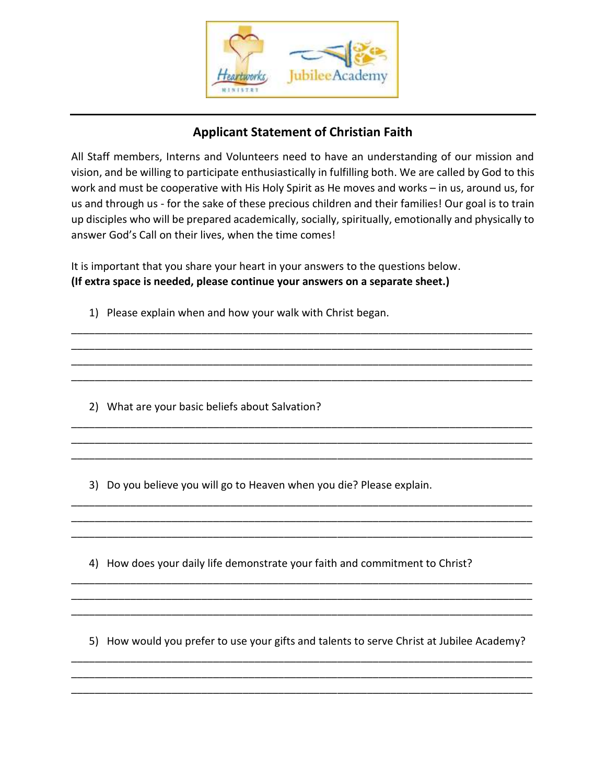

## **Applicant Statement of Christian Faith**

All Staff members, Interns and Volunteers need to have an understanding of our mission and vision, and be willing to participate enthusiastically in fulfilling both. We are called by God to this work and must be cooperative with His Holy Spirit as He moves and works – in us, around us, for us and through us - for the sake of these precious children and their families! Our goal is to train up disciples who will be prepared academically, socially, spiritually, emotionally and physically to answer God's Call on their lives, when the time comes!

\_\_\_\_\_\_\_\_\_\_\_\_\_\_\_\_\_\_\_\_\_\_\_\_\_\_\_\_\_\_\_\_\_\_\_\_\_\_\_\_\_\_\_\_\_\_\_\_\_\_\_\_\_\_\_\_\_\_\_\_\_\_\_\_\_\_\_\_\_\_\_\_\_\_\_\_\_\_ \_\_\_\_\_\_\_\_\_\_\_\_\_\_\_\_\_\_\_\_\_\_\_\_\_\_\_\_\_\_\_\_\_\_\_\_\_\_\_\_\_\_\_\_\_\_\_\_\_\_\_\_\_\_\_\_\_\_\_\_\_\_\_\_\_\_\_\_\_\_\_\_\_\_\_\_\_\_ \_\_\_\_\_\_\_\_\_\_\_\_\_\_\_\_\_\_\_\_\_\_\_\_\_\_\_\_\_\_\_\_\_\_\_\_\_\_\_\_\_\_\_\_\_\_\_\_\_\_\_\_\_\_\_\_\_\_\_\_\_\_\_\_\_\_\_\_\_\_\_\_\_\_\_\_\_\_ \_\_\_\_\_\_\_\_\_\_\_\_\_\_\_\_\_\_\_\_\_\_\_\_\_\_\_\_\_\_\_\_\_\_\_\_\_\_\_\_\_\_\_\_\_\_\_\_\_\_\_\_\_\_\_\_\_\_\_\_\_\_\_\_\_\_\_\_\_\_\_\_\_\_\_\_\_\_

\_\_\_\_\_\_\_\_\_\_\_\_\_\_\_\_\_\_\_\_\_\_\_\_\_\_\_\_\_\_\_\_\_\_\_\_\_\_\_\_\_\_\_\_\_\_\_\_\_\_\_\_\_\_\_\_\_\_\_\_\_\_\_\_\_\_\_\_\_\_\_\_\_\_\_\_\_\_ \_\_\_\_\_\_\_\_\_\_\_\_\_\_\_\_\_\_\_\_\_\_\_\_\_\_\_\_\_\_\_\_\_\_\_\_\_\_\_\_\_\_\_\_\_\_\_\_\_\_\_\_\_\_\_\_\_\_\_\_\_\_\_\_\_\_\_\_\_\_\_\_\_\_\_\_\_\_ \_\_\_\_\_\_\_\_\_\_\_\_\_\_\_\_\_\_\_\_\_\_\_\_\_\_\_\_\_\_\_\_\_\_\_\_\_\_\_\_\_\_\_\_\_\_\_\_\_\_\_\_\_\_\_\_\_\_\_\_\_\_\_\_\_\_\_\_\_\_\_\_\_\_\_\_\_\_

\_\_\_\_\_\_\_\_\_\_\_\_\_\_\_\_\_\_\_\_\_\_\_\_\_\_\_\_\_\_\_\_\_\_\_\_\_\_\_\_\_\_\_\_\_\_\_\_\_\_\_\_\_\_\_\_\_\_\_\_\_\_\_\_\_\_\_\_\_\_\_\_\_\_\_\_\_\_ \_\_\_\_\_\_\_\_\_\_\_\_\_\_\_\_\_\_\_\_\_\_\_\_\_\_\_\_\_\_\_\_\_\_\_\_\_\_\_\_\_\_\_\_\_\_\_\_\_\_\_\_\_\_\_\_\_\_\_\_\_\_\_\_\_\_\_\_\_\_\_\_\_\_\_\_\_\_ \_\_\_\_\_\_\_\_\_\_\_\_\_\_\_\_\_\_\_\_\_\_\_\_\_\_\_\_\_\_\_\_\_\_\_\_\_\_\_\_\_\_\_\_\_\_\_\_\_\_\_\_\_\_\_\_\_\_\_\_\_\_\_\_\_\_\_\_\_\_\_\_\_\_\_\_\_\_

\_\_\_\_\_\_\_\_\_\_\_\_\_\_\_\_\_\_\_\_\_\_\_\_\_\_\_\_\_\_\_\_\_\_\_\_\_\_\_\_\_\_\_\_\_\_\_\_\_\_\_\_\_\_\_\_\_\_\_\_\_\_\_\_\_\_\_\_\_\_\_\_\_\_\_\_\_\_ \_\_\_\_\_\_\_\_\_\_\_\_\_\_\_\_\_\_\_\_\_\_\_\_\_\_\_\_\_\_\_\_\_\_\_\_\_\_\_\_\_\_\_\_\_\_\_\_\_\_\_\_\_\_\_\_\_\_\_\_\_\_\_\_\_\_\_\_\_\_\_\_\_\_\_\_\_\_ \_\_\_\_\_\_\_\_\_\_\_\_\_\_\_\_\_\_\_\_\_\_\_\_\_\_\_\_\_\_\_\_\_\_\_\_\_\_\_\_\_\_\_\_\_\_\_\_\_\_\_\_\_\_\_\_\_\_\_\_\_\_\_\_\_\_\_\_\_\_\_\_\_\_\_\_\_\_

It is important that you share your heart in your answers to the questions below. **(If extra space is needed, please continue your answers on a separate sheet.)** 

1) Please explain when and how your walk with Christ began.

2) What are your basic beliefs about Salvation?

3) Do you believe you will go to Heaven when you die? Please explain.

4) How does your daily life demonstrate your faith and commitment to Christ?

5) How would you prefer to use your gifts and talents to serve Christ at Jubilee Academy?

\_\_\_\_\_\_\_\_\_\_\_\_\_\_\_\_\_\_\_\_\_\_\_\_\_\_\_\_\_\_\_\_\_\_\_\_\_\_\_\_\_\_\_\_\_\_\_\_\_\_\_\_\_\_\_\_\_\_\_\_\_\_\_\_\_\_\_\_\_\_\_\_\_\_\_\_\_\_ \_\_\_\_\_\_\_\_\_\_\_\_\_\_\_\_\_\_\_\_\_\_\_\_\_\_\_\_\_\_\_\_\_\_\_\_\_\_\_\_\_\_\_\_\_\_\_\_\_\_\_\_\_\_\_\_\_\_\_\_\_\_\_\_\_\_\_\_\_\_\_\_\_\_\_\_\_\_ \_\_\_\_\_\_\_\_\_\_\_\_\_\_\_\_\_\_\_\_\_\_\_\_\_\_\_\_\_\_\_\_\_\_\_\_\_\_\_\_\_\_\_\_\_\_\_\_\_\_\_\_\_\_\_\_\_\_\_\_\_\_\_\_\_\_\_\_\_\_\_\_\_\_\_\_\_\_